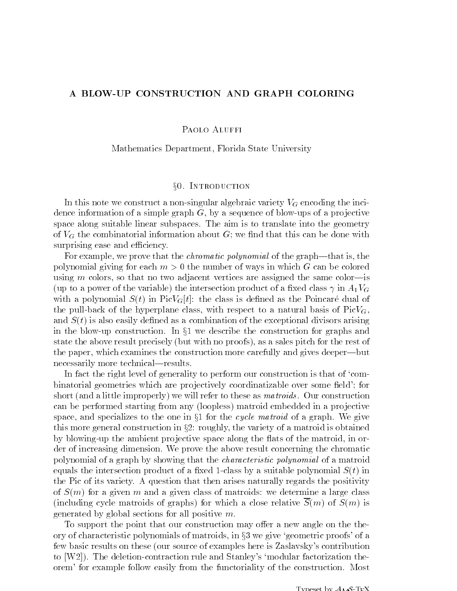## A BLOW-UP CONSTRUCTION AND GRAPH COLORING

PAOLO ALUFFI

Mathematics Department, Florida State University

## x0. Introduction

In this note we construct a non-singular algebraic variety  $V_G$  encoding the incidence information of a simple graph  $G$ , by a sequence of blow-ups of a projective space along suitable linear subspaces. The aim is to translate into the geometry of  $V_G$  the combinatorial information about G; we find that this can be done with surprising ease and efficiency.

For example, we prove that the *chromatic polynomial* of the graph—that is, the polynomial giving for each  $m > 0$  the number of ways in which G can be colored using m colors, so that no two adjacent vertices are assigned the same color-is (up to a power of the variable) the intersection product of a fixed class  $\gamma$  in  $A_1V_G$ with a polynomial  $S(t)$  in Pic $V_G[t]$ : the class is defined as the Poincaré dual of the pull-back of the hyperplane class, with respect to a natural basis of  $Pic V_G$ , and  $S(t)$  is also easily defined as a combination of the exceptional divisors arising in the blow-up construction. In  $\S1$  we describe the construction for graphs and state the above result precisely (but with no proofs), as a sales pitch for the rest of the paper, which examines the construction more carefully and gives deeper—but necessarily more technical—results.

In fact the right level of generality to perform our construction is that of 'combinatorial geometries which are projectively coordinatizable over some field'; for short (and a little improperly) we will refer to these as *matroids*. Our construction can be performed starting from any (loopless) matroid embedded in a projective space, and specializes to the one in  $\S1$  for the cycle matroid of a graph. We give this more general construction in  $\S2$ : roughly, the variety of a matroid is obtained by blowing-up the ambient projective space along the flats of the matroid, in order of increasing dimension. We prove the above result concerning the chromatic polynomial of a graph by showing that the characteristic polynomial of a matroid equals the intersection product of a fixed 1-class by a suitable polynomial  $S(t)$  in the Pic of its variety. A question that then arises naturally regards the positivity of  $S(m)$  for a given m and a given class of matroids: we determine a large class (including cycle matroids of graphs) for which a close relative  $S(m)$  of  $S(m)$  is generated by global sections for all positive m.

To support the point that our construction may offer a new angle on the theory of characteristic polynomials of matroids, in  $\S$ 3 we give 'geometric proofs' of a few basic results on these (our source of examples here is Zaslavsky's contribution to [W2]). The deletion-contraction rule and Stanley's `modular factorization theorem' for example follow easily from the functoriality of the construction. Most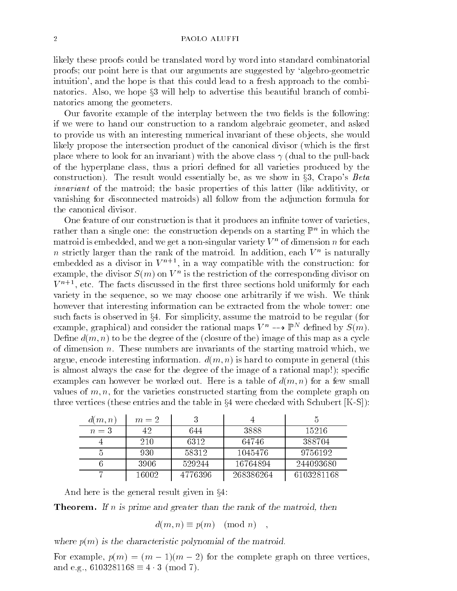likely these proofs could be translated word by word into standard combinatorial proofs; our point here is that our arguments are suggested by `algebro-geometric intuition', and the hope is that this could lead to a fresh approach to the combinatorics. Also, we hope  $\S3$  will help to advertise this beautiful branch of combinatorics among the geometers.

Our favorite example of the interplay between the two fields is the following: if we were to hand our construction to a random algebraic geometer, and asked to provide us with an interesting numerical invariant of these objects, she would likely propose the intersection product of the canonical divisor (which is the first place where to look for an invariant) with the above class  $\gamma$  (dual to the pull-back of the hyperplane class, thus a priori dened for all varieties produced by the construction). The result would essentially be, as we show in  $\S3$ , Crapo's Beta invariant of the matroid; the basic properties of this latter (like additivity, or vanishing for disconnected matroids) all follow from the adjunction formula for the canonical divisor.

One feature of our construction is that it produces an infinite tower of varieties. rather than a single one: the construction depends on a starting  $\mathbb F$  -in which the  $\mathbb F$ matroid is embedded, and we get a non-singular variety  $V$  " of dimension  $n$  for each  $\blacksquare$  $n$  strictly larger than the rank of the matroid. In addition, each  $V$  " is naturally  $\hspace{0.1mm}$ embedded as a divisor in  $V^{n+1}$ , in a way compatible with the construction: for example, the divisor  $S(m)$  on  $V^{\ast}$  is the restriction of the corresponding divisor on  $V^{n+1}$ , etc. The facts discussed in the first three sections hold uniformly for each variety in the sequence, so we may choose one arbitrarily if we wish. We think however that interesting information can be extracted from the whole tower: one such facts is observed in  $\S 4$ . For simplicity, assume the matroid to be regular (for example, graphical) and consider the rational maps  $V$  =-->  $\mathbb{F}^+$  denned by  $\mathcal{S}(m)$ . Define  $d(m, n)$  to be the degree of the (closure of the) image of this map as a cycle of dimension  $n$ . These numbers are invariants of the starting matroid which, we argue, encode interesting information.  $d(m, n)$  is hard to compute in general (this is almost always the case for the degree of the image of a rational map!); specific examples can however be worked out. Here is a table of  $d(m, n)$  for a few small values of  $m, n$ , for the varieties constructed starting from the complete graph on three vertices (these entries and the table in  $\S 4$  were checked with Schubert  $[K-S]$ ):

| d(m, n) | $m=2$ |         |           |            |
|---------|-------|---------|-----------|------------|
| $n=3$   | 42    | 644     | 3888      | 15216      |
|         | 210   | 6312    | 64746     | 388704     |
|         | 930   | 58312   | 1045476   | 9756192    |
|         | 3906  | 529244  | 16764894  | 244093680  |
|         | 16002 | 4776396 | 268386264 | 6103281168 |

And here is the general result given in  $\S4$ :

**Theorem.** If n is prime and greater than the rank of the matroid, then

$$
d(m,n)\equiv p(m)\pmod{n}\quad ,
$$

where  $p(m)$  is the characteristic polynomial of the matroid.

For example,  $p(m)=(m-1)(m-2)$  for the complete graph on three vertices, and e.g.,  $6103281168 \equiv 4 \cdot 3 \pmod{7}$ .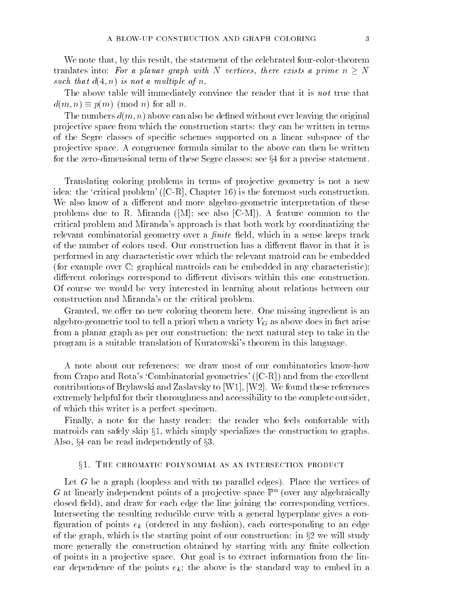We note that, by this result, the statement of the celebrated four-color-theorem tranlates into: For a planar graph with N vertices, there exists a prime  $n \geq N$  $s$  went that  $a_{\{+}, a_{\}}$  is not a multiple of n.

The above table will immediately convince the reader that it is *not* true that  $d(m, n) \equiv p(m) \pmod{n}$  for all n.

The numbers  $d(m, n)$  above can also be defined without ever leaving the original pro jective space from which the construction starts: they can be written in terms of the Segre classes of specic schemes supported on a linear subspace of the pro jective space. A congruence formula similar to the above can then be written for the zero-dimensional term of these Segre classes; see  $\S 4$  for a precise statement.

Translating coloring problems in terms of projective geometry is not a new idea: the 'critical problem' ( $[C-R]$ , Chapter 16) is the foremost such construction. We also know of a different and more algebro-geometric interpretation of these problems due to R. Miranda ( $[M]$ ; see also  $[C-M])$ . A feature common to the critical problem and Miranda's approach is that both work by coordinatizing the relevant combinatorial geometry over a  $finite$  field, which in a sense keeps track of the number of colors used. Our construction has a different flavor in that it is performed in any characteristic over which the relevant matroid can be embedded (for example over  $\mathbb{C}$ ; graphical matroids can be embedded in any characteristic); different colorings correspond to different divisors within this one construction. Of course we would be very interested in learning about relations between our construction and Miranda's or the critical problem.

Granted, we offer no new coloring theorem here. One missing ingredient is an algebro-geometric tool to tell a priori when a variety  $V_G$  as above does in fact arise from a planar graph as per our construction: the next natural step to take in the program is a suitable translation of Kuratowski's theorem in this language.

A note about our references: we draw most of our combinatorics know-how from Crapo and Rota's 'Combinatorial geometries' ( $[C-R]$ ) and from the excellent contributions of Brylawski and Zaslavsky to [W1], [W2]. We found these references extremely helpful for their thoroughness and accessibility to the complete outsider, of which this writer is a perfect specimen.

Finally, a note for the hasty reader: the reader who feels confortable with matroids can safely skip  $\S1$ , which simply specializes the construction to graphs. Also,  $\S 4$  can be read independently of  $\S 3$ .

### x1. The chromatic polynomial as an intersection product

Let G be a graph (loopless and with no parallel edges). Place the vertices of  $G$  at innearly independent points of a projective space  $\mathbb{P}^n$  (over any algebraically closed field), and draw for each edge the line joining the corresponding vertices. Intersecting the resulting reducible curve with a general hyperplane gives a con figuration of points  $e_k$  (ordered in any fashion), each corresponding to an edge of the graph, which is the starting point of our construction: in  $\S2$  we will study more generally the construction obtained by starting with any finite collection of points in a pro jective space. Our goal is to extract information from the linear dependence of the points  $e_k$ ; the above is the standard way to embed in a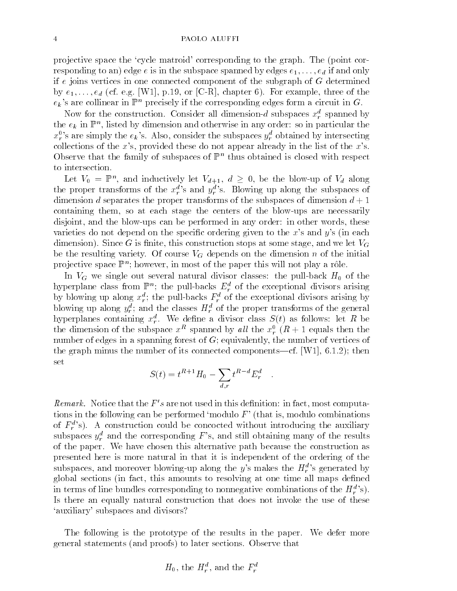pro jective space the `cycle matroid' corresponding to the graph. The (point corresponding to an) edge e is in the subspace spanned by edges  $e_1, \ldots, e_d$  if and only if  $e$  joins vertices in one connected component of the subgraph of  $G$  determined by  $e_1,\ldots,e_d$  (cf. e.g. [W1], p.19, or [C-R], chapter 6). For example, three of the  $e_k$ 's are collinear in  $\mathbb{P}^n$  precisely if the corresponding edges form a circuit in G.

Now for the construction. Consider all dimension- $a$  subspaces  $x<sub>r</sub>$  spanned by the  $e_k$  in Fu, listed by dimension and otherwise in any order: so in particular the  $\hspace{0.1mm}$  $x_r^0$ 's are simply the  $e_k$ 's. Also, consider the subspaces  $y_r^d$  obtained by intersecting collections of the  $x$ 's, provided these do not appear already in the list of the  $x$ 's. Observe that the family of subspaces of Full thus obtained is closed with respect to intersection.

Let  $V_0 = \mathbb{F}^n$ , and inductively let  $V_{d+1}, a \geq 0$ , be the blow-up of  $V_d$  along the proper transforms of the  $x_r^d$ 's and  $y_r^d$ 's. Blowing up along the subspaces of dimension d separates the proper transforms of the subspaces of dimension  $d+1$ containing them, so at each stage the centers of the blow-ups are necessarily disjoint, and the blow-ups can be performed in any order: in other words, these varieties do not depend on the specific ordering given to the x's and  $y$ 's (in each dimension). Since G is finite, this construction stops at some stage, and we let  $V_G$ be the resulting variety. Of course  $V_G$  depends on the dimension n of the initial projective space F ; nowever, in most of the paper this will not play a role.

In VG we single out several natural divisor classes: the pull-back H0 of the ny perplane class from  $\mathbb{F}^m$ ; the pull-backs  $E^{\pi}_r$  of the exceptional divisors arising by blowing up along  $x_{\tilde{r}}$ ; the pull-backs  $F_{\tilde{r}}$  of the exceptional divisors arising by blowing up along  $y_r^*$ ; and the classes  $\pi_r^*$  of the proper transforms of the general hyperplanes containing  $x_r^{\perp}$  . We define a divisor class  $S(t)$  as follows: let  $R$  be the dimension of the subspace  $x^{\perp}$  spanned by all the  $x_{r}^{\perp}$  ( $R + 1$  equals then the number of edges in a spanning forest of G; equivalently, the number of vertices of the graph minus the number of its connected components—cf. [W1], 6.1.2); then set

$$
S(t) = t^{R+1} H_0 - \sum_{d,r} t^{R-d} E_r^d
$$

 $\kappa e$  are notice that the  $F$  -s are not used in this definition: in fact, most computations in the following can be performed 'modulo  $F'$  (that is, modulo combinations of  $F_r^a$ 's). A construction could be concocted without introducing the auxiliary subspaces  $y_r^a$  and the corresponding F's, and still obtaining many of the results of the paper. We have chosen this alternative path because the construction as presented here is more natural in that it is independent of the ordering of the subspaces, and moreover blowing-up along the y's makes the  $H_r^d$ 's generated by global sections (in fact, this amounts to resolving at one time all maps defined in terms of line bundles corresponding to nonnegative combinations of the  $H_r^{a,s}$ . Is there an equally natural construction that does not invoke the use of these `auxiliary' subspaces and divisors?

The following is the prototype of the results in the paper. We defer more general statements (and proofs) to later sections. Observe that

$$
H_0
$$
, the  $H_r^d$ , and the  $F_r^d$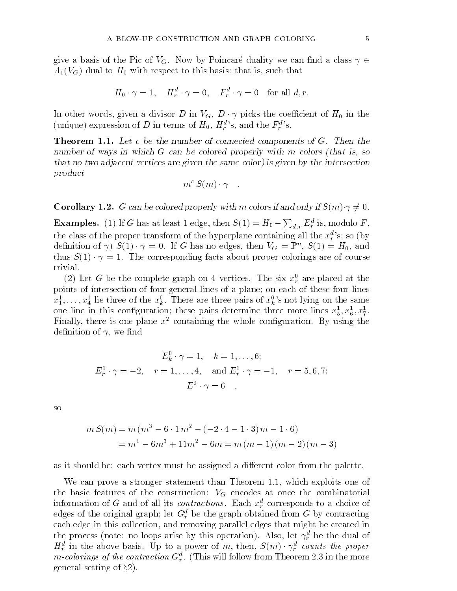give a basis of the Pic of  $V_G$ . Now by Poincaré duality we can find a class  $\gamma \in$  $A_1(V_G)$  dual to  $H_0$  with respect to this basis: that is, such that

$$
H_0 \cdot \gamma = 1, \quad H_r^d \cdot \gamma = 0, \quad F_r^d \cdot \gamma = 0 \quad \text{for all } d, r.
$$

In other words, given a divisor D in  $V_G$ ,  $D \cdot \gamma$  picks the coefficient of  $H_0$  in the (unique) expression of D in terms of  $H_0$ ,  $H_r^d$ 's, and the  $F_r^d$ 's.

**Theorem 1.1.** Let c be the number of connected components of  $G$ . Then the number of ways in which G can be colored properly with m colors (that is, so that no two adjacent vertices are given the same color) is given by the intersection product

$$
m^{\,c}\,S(m)\cdot \gamma \quad.
$$

**Corollary 1.2.** G can be colored properly with m colors if and only if  $S(m) \cdot \gamma \neq 0$ .

**Examples.** (1) If G has at least 1 edge, then  $S(1) = H_0 - \sum_{d,r} E_r^d$  is, modulo F, the class of the proper transform of the hyperplane containing all the  $x_r^a$ 's; so (by definition of  $\gamma$ )  $S(1) \cdot \gamma = 0$ . If G has no edges, then  $V_G = \mathbb{F}^n$ ,  $S(1) = H_0$ , and thus S(1) is seen about proper corresponding facts about proper coloring are of colorings are of colorings are of co trivial.

(2) Let G be the complete graph on 4 vertices. The six  $x_r^{\star}$  are placed at the points of intersection of four general lines of a plane; on each of these four lines  $x_1^1, \ldots, x_4^1$  lie three of the  $x_k^0$ . There are three pairs of  $x_k^0$ 's not lying on the same one line in this configuration; these pairs determine three more lines  $x_5^2, x_6^2, x_7^2$ . Finally, there is one plane  $x^2$  containing the whole configuration. By using the definition of  $\gamma$ , we find

$$
E_k^0 \cdot \gamma = 1, \quad k = 1, ..., 6;
$$
  

$$
E_r^1 \cdot \gamma = -2, \quad r = 1, ..., 4, \quad \text{and } E_r^1 \cdot \gamma = -1, \quad r = 5, 6, 7;
$$
  

$$
E^2 \cdot \gamma = 6,
$$

so

$$
m S(m) = m (m3 - 6 \cdot 1 m2 - (-2 \cdot 4 - 1 \cdot 3) m - 1 \cdot 6)
$$
  
= m<sup>4</sup> - 6m<sup>3</sup> + 11m<sup>2</sup> - 6m = m (m - 1) (m - 2) (m - 3)

as it should be: each vertex must be assigned a different color from the palette.

We can prove a stronger statement than Theorem 1.1, which exploits one of the basic features of the construction:  $V_G$  encodes at once the combinatorial information of G and of all its *contractions*. Each  $x_{\tau}^{-}$  corresponds to a choice of edges of the original graph; let  $G_r^+$  be the graph obtained from  $G$  by contracting each edge in this collection, and removing parallel edges that might be created in the process (note: no loops arise by this operation). Also, let  $\gamma_r^*$  be the dual of  $\pi_r$  in the above basis. Up to a power of m, then,  $S(m) \cdot \gamma_r$  counts the proper  $m$ -colorings of the contraction  $\mathbf{G}_{r}^{+}$ . (This will follow from Theorem 2.3 in the more general setting of  $\S 2$ ).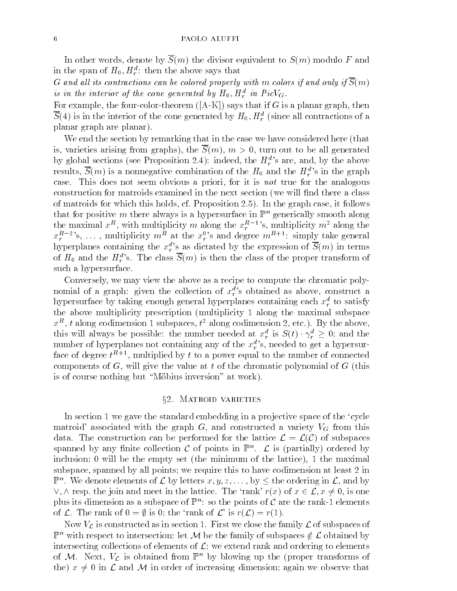In other words, denote by  $\overline{S}(m)$  the divisor equivalent to  $S(m)$  modulo F and in the span of  $H_0, H_{\bar r}$  : then the above says that

G and all its contractions can be colored properly with m colors if and only if  $\overline{S}(m)$ is in the interior of the cone generated by  $\bm{\pi}_{0}, \bm{\pi}_{r}^{+}$  in Picv $_{G}.$ 

For example, the four-color-theorem  $([A-K])$  says that if G is a planar graph, then  $S(4)$  is in the interior of the cone generated by  $H_0, H_T^+$  (since all contractions of a planar graph are planar).

We end the section by remarking that in the case we have considered here (that is, varieties arising from graphs), the  $\overline{S}(m)$ ,  $m > 0$ , turn out to be all generated by global sections (see Proposition 2.4): indeed, the  $H_r^d$ 's are, and, by the above results,  $S(m)$  is a nonnegative combination of the  $H_0$  and the  $H_r^d$ 's in the graph case. This does not seem obvious a priori, for it is not true for the analogous construction for matroids examined in the next section (we will find there a class of matroids for which this holds, cf. Proposition 2.5). In the graph case, it follows that for positive  $m$  there always is a hypersurface in  $\mathbb{F}^n$  generically smooth along the maximal  $x<sup>R</sup>$ , with multiplicity m along the  $x<sub>r</sub><sup>R-1</sup>$ 's, multiplicity m<sup>2</sup> along the  $x_r^{R-2}$ 's, ..., multiplicity  $m^R$  at the  $x_r^{0}$ 's and degree  $m^{R+1}$ : simply take general hyperplanes containing the  $x_r^d$ 's as dictated by the expression of  $S(m)$  in terms of  $H_0$  and the  $H_r^d$ 's. The class  $S(m)$  is then the class of the proper transform of such a hypersurface.

Conversely, we may view the above as a recipe to compute the chromatic polynomial of a graph: given the collection of  $x_r^a$ 's obtained as above, construct a hypersurface by taking enough general hyperplanes comaining each  $x_{\tilde{r}}$  to satisfy the above multiplicity prescription (multiplicity 1 along the maximal subspace  $x^{-1}$ , t along codimension 1 subspaces, t-along codimension 2, etc.). By the above, this will always be possible: the number heeded at  $x_r^2$  is  $S(t) \cdot \gamma_r^2 \geq 0$ ; and the number of hyperplanes not containing any of the  $x_r^d$ 's, needed to get a hypersurface of degree  $t^{R+1}$ , multiplied by t to a power equal to the number of connected components of  $G$ , will give the value at t of the chromatic polynomial of  $G$  (this is of course nothing but "Möbius inversion" at work).

## x2. Matroid varieties

In section 1 we gave the standard embedding in a projective space of the 'cycle matroid' associated with the graph  $G$ , and constructed a variety  $V_G$  from this data. The construction can be performed for the lattice  $\mathcal{L} = \mathcal{L}(\mathcal{C})$  of subspaces spanned by any finite collection  $\mathcal L$  of points in  $\mathbb P^m$ .  $\mathcal L$  is (partially) ordered by inclusion; 0 will be the empty set (the minimum of the lattice), 1 the maximal subspace, spanned by all points; we require this to have codimension at least 2 in  $\mathbb{F}^n$ . We defible elements of  $\mathcal{L}$  by letters  $x, y, z, \ldots$ , by  $\sim$  the ordering in  $\mathcal{L}$ , and by  $\vee$ ,  $\wedge$  resp. the join and meet in the lattice. The 'rank'  $r(x)$  of  $x \in \mathcal{L}$ ,  $x \neq 0$ , is one plus its dimension as a subspace of  $\mathbb{P}^n$ : so the points of C are the rank-1 elements of  $\mathcal L$ . The rank of  $0 = \emptyset$  is 0; the 'rank of  $\mathcal L$ ' is  $r(\mathcal L) = r(1)$ .

Now  $V_{\mathcal{L}}$  is constructed as in section 1. First we close the family  $\mathcal{L}$  of subspaces of  $\mathbb{P}^n$  with respect to intersection: let M be the family of subspaces  $\notin \mathcal{L}$  obtained by intersecting collections of elements of  $\mathcal{L}$ ; we extend rank and ordering to elements of M. Next,  $V_{\mathcal{L}}$  is obtained from  $\mathbb{P}^n$  by blowing up the (proper transforms of the)  $x \neq 0$  in  $\mathcal L$  and  $\mathcal M$  in order of increasing dimension; again we observe that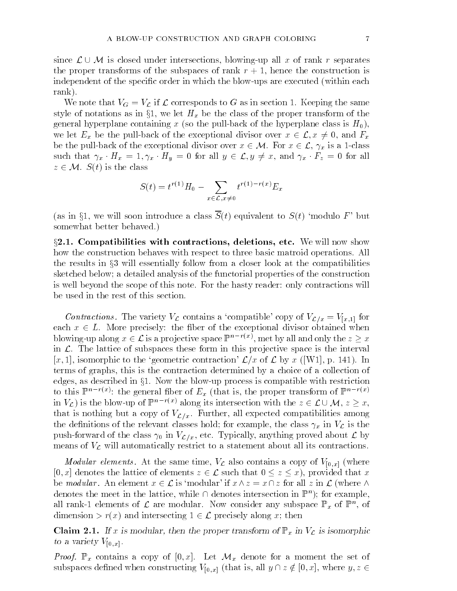since L[M is closed under intersections, blowing-up all <sup>x</sup> of rank <sup>r</sup> separates the proper transforms of the subspaces of rank  $r + 1$ , hence the construction is independent of the specific order in which the blow-ups are executed (within each

We note that  $V_G = V_{\mathcal{L}}$  if  $\mathcal{L}$  corresponds to G as in section 1. Keeping the same style of notations as in  $\S1$ , we let  $H_x$  be the class of the proper transform of the general hyperplane containing x (so the pull-back of the hyperplane class is  $H_0$ ), we let  $E_x$  be the pull-back of the exceptional divisor over  $x \in \mathcal{L}, x \neq 0$ , and  $F_x$ be the pull-back of the exceptional divisor over  $x \in M$ . For  $x \in \mathcal{L}$ ,  $\gamma_x$  is a 1-class such that  $\gamma_x \cdot H_x = 1, \gamma_x \cdot H_y = 0$  for all  $y \in \mathcal{L}, y \neq x$ , and  $\gamma_x \cdot F_z = 0$  for all  $z \in \mathcal{M}$ .  $S(t)$  is the class

rank).

$$
S(t) = t^{r(1)}H_0 - \sum_{x \in \mathcal{L}, x \neq 0} t^{r(1) - r(x)} E_x
$$

(as in §1, we will soon introduce a class  $\overline{S}(t)$  equivalent to  $S(t)$  'modulo F' but somewhat better behaved.)

 $\S2.1.$  Compatibilities with contractions, deletions, etc. We will now show how the construction behaves with respect to three basic matroid operations. All the results in  $\S3$  will essentially follow from a closer look at the compatibilities sketched below; a detailed analysis of the functorial properties of the construction is well beyond the scope of this note. For the hasty reader: only contractions will be used in the rest of this section.

Contractions. The variety  $V_{\mathcal{L}}$  contains a 'compatible' copy of  $V_{\mathcal{L}/x} = V_{[x,1]}$  for each x 2 L. More precisely: the exception of the exceptional divisor of the exception of the exception of the blowing-up along  $x \in \mathcal{L}$  is a projective space  $\mathbb{P}^n$  and  $\mathbb{R}^n$  and  $\mathbb{R}^n$  and only the  $z \geq x$ in  $\mathcal{L}$ . The lattice of subspaces these form in this projective space is the interval [x, 1], isomorphic to the 'geometric contraction'  $\mathcal{L}/x$  of  $\mathcal{L}$  by x ([W1], p. 141). In terms of graphs, this is the contraction determined byachoice of a collection of edges, as described in  $\S1$ . Now the blow-up process is compatible with restriction to this  $\mathbb{P}^n$  is the general fiber of  $E_x$  (that is, the proper transform of  $\mathbb{P}^n$  is  $\mathbb{P}^n$ in  $V_{\mathcal{L}}$ ) is the blow-up of  $\mathbb{P}^{n-r(x)}$  along its intersection with the  $z \in \mathcal{L} \cup \mathcal{M}, z \geq x$ , that is nothing but a copy of  $V_{\mathcal{L}/x}$ . Further, all expected compatibilities among the definitions of the relevant classes hold; for example, the class  $\gamma_x$  in  $V_c$  is the push-forward of the class  $\gamma_0$  in  $V_{\mathcal{L}/x}$ , etc. Typically, anything proved about  $\mathcal L$  by means of  $V_{\mathcal{L}}$  will automatically restrict to a statement about all its contractions.

*Modular elements.* At the same time,  $V_L$  also contains a copy of  $V_{[0,x]}$  (where [0, x] denotes the lattice of elements  $z \in \mathcal{L}$  such that  $0 \leq z \leq x$ ], provided that x be modular. An element  $x \in \mathcal{L}$  is 'modular' if  $x \wedge z = x \cap z$  for all z in  $\mathcal{L}$  (where  $\wedge$ denotes the meet in the lattice, while  $\sqcap$  denotes intersection in  $\mathbb{P}^n$ ); for example, an rank-1 elements of  $\mathcal L$  are modular. Now consider any subspace  $\mathbb{F}_x$  of  $\mathbb{F}^n$ , of dimension  $>r(x)$  and intersecting  $1 \in \mathcal{L}$  precisely along x; then

Claim 2.1. If x is modular, then the proper transform of  $\mathbb{P}_x$  in  $V_c$  is isomorphic to a variety  $V_{[0,x]}$ .

 $P$  roof.  $P$  is contained a copy of  $\vert \circ, \infty \vert$ . Here  $\mathcal{E} \circ \mathcal{E}$  achieve for a moment the set of subspaces defined when constructing  $V_{[0,x]}$  (that is, all  $y \cap z \notin [0,x]$ , where  $y, z \in$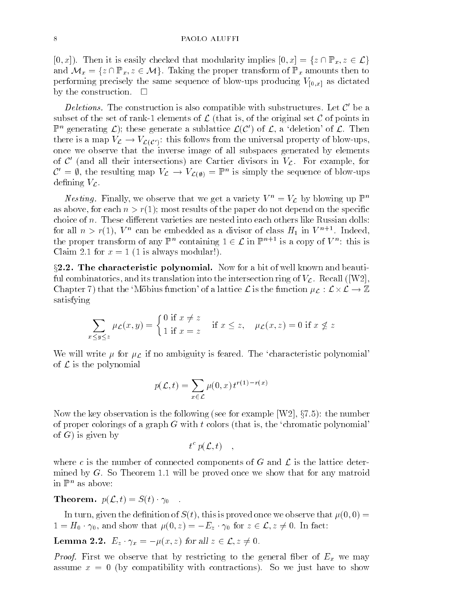$[0, x]$ ). Then it is easily checked that modularity implies  $[0, x] = \{z \cap \mathbb{P}_x, z \in \mathcal{L}\}\$ and Mx <sup>=</sup> fz \ Px; z 2 Mg. Taking the proper transform of Px amounts then to performing precisely the same sequence of blow-ups producing  $V_{[0,x]}$  as dictated by the construction.  $\square$ 

*Detenons.* The construction is also compatible with substructures. Let  $C$  be a subset of the set of rank-1 elements of  $\mathcal L$  (that is, of the original set  $\mathcal C$  of points in  $\mathbb{P}^n$  generating  $\mathcal{L}$ ); these generate a sublattice  $\mathcal{L}(\mathcal{C}')$  of  $\mathcal{L}$ , a 'deletion' of  $\mathcal{L}$ . Then there is a map  $V_{\mathcal{L}} \to V_{\mathcal{L}(\mathcal{C}')}$ : this follows from the universal property of blow-ups, once we observe that the inverse image of all subspaces generated by elements of  $C$  (and all their intersections) are Cartier divisors in  $V_{\mathcal{L}}$ . For example, for  $\mathcal{L} = \mathcal{V}$ , the resulting map  $V_L \to V_{L(\mathcal{V})} = \mathbb{F}$  is simply the sequence of blow-ups defining  $V_{\mathcal{L}}$ .

*Nesting*. Finally, we observe that we get a variety  $V^+ = V_L$  by blowing up  $\mathbb{P}^+$ as above, for each  $n > r(1)$ ; most results of the paper do not depend on the specific choice of  $n$ . These different varieties are nested into each others like Russian dolls: for all  $n>r(1)$ ,  $v^{\prime\prime}$  can be embedded as a divisor of class  $H_1$  in  $v^{\prime\prime}$  . Indeed, the proper transform of any  $\mathbb{F}^n$  containing  $1 \in \mathcal{L}$  in  $\mathbb{F}^{n+1}$  is a copy of  $V^n$ : this is Claim 2.1 for  $x = 1$  (1 is always modular!).

 $\S2.2$ . The characteristic polynomial. Now for a bit of well known and beautiful combinatorics, and its translation into the intersection ring of  $V_c$ . Recall ([W2], Chapter 7) that the 'Möbius function' of a lattice  ${\cal L}$  is the function  $\mu_{\cal L}: {\cal L} \times {\cal L} \to {\mathbb Z}$ satisfying

$$
\sum_{x \le y \le z} \mu_{\mathcal{L}}(x, y) = \begin{cases} 0 \text{ if } x \ne z \\ 1 \text{ if } x = z \end{cases} \text{ if } x \le z, \quad \mu_{\mathcal{L}}(x, z) = 0 \text{ if } x \not\le z
$$

We will write  $\mu$  for  $\mu_{\mathcal{L}}$  if no ambiguity is feared. The 'characteristic polynomial' of  $\sim$  1.000 polynomials and polynomials are also the polynomials of  $\sim$ 

$$
p(\mathcal{L}, t) = \sum_{x \in \mathcal{L}} \mu(0, x) t^{r(1) - r(x)}
$$

Now the key observation is the following (see for example  $[W2]$ ,  $\S 7.5$ ): the number of proper colorings of a graph  $G$  with  $t$  colors (that is, the 'chromatic polynomial' of  $G$ ) is given by

 $t \cdot p(\mathcal{L}, t)$ ,

where c is the number of connected components of G and  $\mathcal L$  is the lattice determined by  $G$ . So Theorem 1.1 will be proved once we show that for any matroid in Pn as above:

# **Theorem.**  $p(\mathcal{L}, t) = S(t) \cdot \gamma_0$

In turn, given the definition of  $S(t)$ , this is proved once we observe that  $\mu(0,0) =$  $1 = H_0 \cdot \gamma_0$ , and show that  $\mu(0, z) = -E_z \cdot \gamma_0$  for  $z \in \mathcal{L}, z \neq 0$ . In fact:

**Lemma 2.2.** 
$$
E_z \cdot \gamma_x = -\mu(x, z)
$$
 for all  $z \in \mathcal{L}, z \neq 0$ .

First  $\mathcal{L}$  respective that  $\mathcal{L}$  restricting to the general hold of  $\mathbf{E}_k$  we may assume  $x = 0$  (by compatibility with contractions). So we just have to show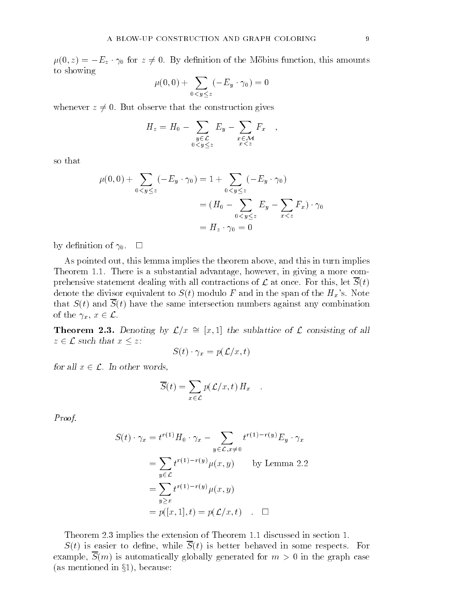$\mu(0, z) = -E_z \cdot \gamma_0$  for  $z \neq 0$ . By definition of the Möbius function, this amounts to showing

$$
\mu(0,0)+\sum_{0
$$

whenever  $z \neq 0$ . But observe that the construction gives

$$
H_z = H_0 - \sum_{\substack{y \in \mathcal{L} \\ 0 < y \leq z}} E_y - \sum_{\substack{x \in \mathcal{M} \\ x < z}} F_x \quad ,
$$

so that

$$
\mu(0,0) + \sum_{0 < y \le z} (-E_y \cdot \gamma_0) = 1 + \sum_{0 < y \le z} (-E_y \cdot \gamma_0)
$$
  
=  $(H_0 - \sum_{0 < y \le z} E_y - \sum_{x < z} F_x) \cdot \gamma_0$   
=  $H_z \cdot \gamma_0 = 0$ 

by definition of  $\gamma_0$ .  $\Box$ 

As pointed out, this lemma implies the theorem above, and this in turn implies Theorem 1.1. There is a substantial advantage, however, in giving a more comprehensive statement dealing with all contractions of  $\mathcal L$  at once. For this, let  $S(t)$ denote the divisor equivalent to  $S(t)$  modulo F and in the span of the  $H_x$ 's. Note that  $S(t)$  and  $\overline{S}(t)$  have the same intersection numbers against any combination of the  $\gamma_x, x \in \mathcal{L}$ .

**Theorem 2.3.** Denoting by  $\mathcal{L}/x \cong [x, 1]$  the sublattice of  $\mathcal L$  consisting of all z 2 L such that x 2 L such that x 2 L such that x 2 L such that x 2 L such that x 2 L such that x 2 L such tha

$$
S(t) \cdot \gamma_x = p(\mathcal{L}/x, t)
$$

for all  $x \in \mathcal{L}$ . In other words,

$$
\overline{S}(t) = \sum_{x \in \mathcal{L}} p(\mathcal{L}/x, t) H_x \quad .
$$

Proof.

$$
S(t) \cdot \gamma_x = t^{r(1)} H_0 \cdot \gamma_x - \sum_{y \in \mathcal{L}, x \neq 0} t^{r(1) - r(y)} E_y \cdot \gamma_x
$$
  
= 
$$
\sum_{y \in \mathcal{L}} t^{r(1) - r(y)} \mu(x, y) \qquad \text{by Lemma 2.2}
$$
  
= 
$$
\sum_{y \ge x} t^{r(1) - r(y)} \mu(x, y)
$$
  
= 
$$
p([x, 1], t) = p(\mathcal{L}/x, t) \quad \Box
$$

Theorem 2.3 implies the extension of Theorem 1.1 discussed in section 1.

 $S(t)$  is easier to define, while  $\overline{S}(t)$  is better behaved in some respects. For example,  $\overline{S}(m)$  is automatically globally generated for  $m > 0$  in the graph case (as mentioned in  $\S1$ ), because: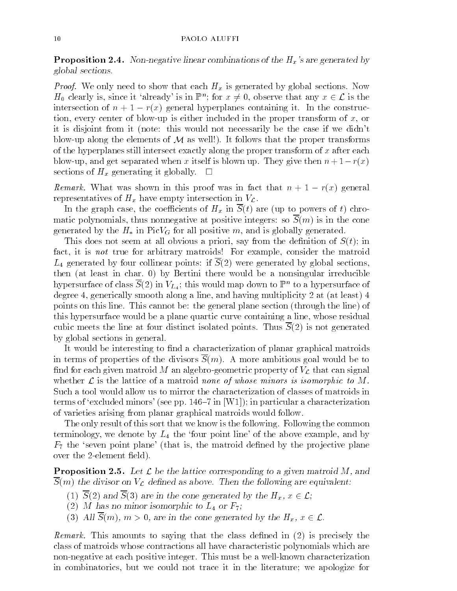**Proposition 2.4.** Non-negative linear combinations of the  $H_x$ 's are generated by global sections.

Proof. We only need to show that each Hx is generated by global sections. Now  $H_0$  clearly is, since it 'already' is in  $\mathbb{P}^n$ ; for  $x \neq 0$ , observe that any  $x \in \mathcal{L}$  is the intersection of  $n + 1 - r(x)$  general hyperplanes containing it. In the construction, every center of blow-up is either included in the proper transform of  $x$ , or it is disjoint from it (note: this would not necessarily be the case if we didn't blow-up along the elements of  $\mathcal M$  as well!). It follows that the proper transforms of the hyperplanes still intersect exactly along the proper transform of  $x$  after each blow-up, and get separated when x itself is blown up. They give then  $n + 1 - r(x)$ sections of  $H_x$  generating it globally.  $\Box$ 

 $R_{\text{SUSY}}$  is the was denoted that the value proof was in the  $\alpha$  in  $\alpha$   $\alpha$  is  $\alpha$   $\alpha$  and  $\alpha$ representatives of  $H_x$  have empty intersection in  $V_{\mathcal{L}}$ .

In the graph case, the coefficients of  $H_x$  in  $\overline{S}(t)$  are (up to powers of t) chromatic polynomials, thus nonnegative at positive integers: so  $\overline{S}(m)$  is in the cone generated by the  $H_*$  in Pic $V_G$  for all positive m, and is globally generated.

This does not seem at all obvious a priori, say from the definition of  $S(t)$ ; in fact, it is not true for arbitrary matroids! For example, consider the matroid  $L_4$  generated by four collinear points: if  $\overline{S}(2)$  were generated by global sections, then (at least in char. 0) by Bertini there would be a nonsingular irreducible hypersurface of class  $S(Z)$  in  $V_{L_4}$ ; this would map down to  $\mathbb{P}^n$  to a hypersurface of degree 4, generically smooth along a line, and having multiplicity 2 at (at least) 4 points on this line. This cannot be: the general plane section (through the line) of this hypersurface would be a plane quartic curve containing a line, whose residual cubic meets the line at four distinct isolated points. Thus  $\overline{S}(2)$  is not generated by global sections in general.

It would be interesting to find a characterization of planar graphical matroids in terms of properties of the divisors  $\overline{S}(m)$ . A more ambitious goal would be to find for each given matroid M an algebro-geometric property of  $V_{\mathcal{L}}$  that can signal whether  $L$  is the lattice of a matroid none of whose minors is isomorphic to  $M$ . Such a tool would allow us to mirror the characterization of classes of matroids in terms of 'excluded minors' (see pp.  $146{-}7$  in [W1]); in particular a characterization of varieties arising from planar graphical matroids would follow.

The only result of this sort that we know is the following. Following the common terminology, we denote by  $L_4$  the 'four point line' of the above example, and by  $F<sub>7</sub>$  the 'seven point plane' (that is, the matroid defined by the projective plane over the 2-element field).

**Proposition 2.5.** Let  $\mathcal{L}$  be the lattice corresponding to a given matroid M, and  $\overline{S}(m)$  the divisor on  $V_c$  defined as above. Then the following are equivalent:

- (1)  $\overline{S}(2)$  and  $\overline{S}(3)$  are in the cone generated by the  $H_x, x \in \mathcal{L}$ ;
- (2) M has no minor isomorphic to  $L_4$  or  $F_7$ ;
- (3) All  $\overline{S}(m)$ ,  $m > 0$ , are in the cone generated by the  $H_x$ ,  $x \in \mathcal{L}$ .

Remark. This amounts to saying that the class dened in (2) is precisely the class of matroids whose contractions all have characteristic polynomials which are non-negative at each positive integer. This must be a well-known characterization in combinatorics, but we could not trace it in the literature; we apologize for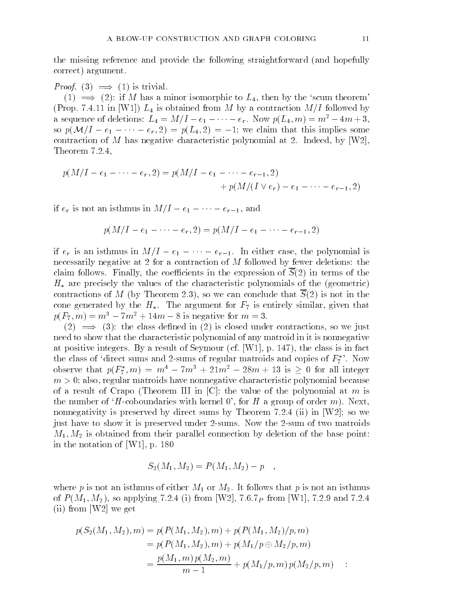the missing reference and provide the following straightforward (and hopefully correct) argument.

Proof. (3) =) (1) is trivial.

 $(1) \implies (2)$ : if M has a minor isomorphic to  $L_4$ , then by the 'scum theorem' (Prop. 7.4.11 in [W1])  $L_4$  is obtained from M by a contraction  $M/I$  followed by a sequence of deletions:  $L_4 = M/I - e_1 - \cdots - e_r$ . Now  $p(L_4, m) = m^2 - 4m + 3$ , so  $p(\mathcal{M}/I - e_1 - \cdots - e_r, 2) = p(L_4, 2) = -1$ ; we claim that this implies some contraction of M has negative characteristic polynomial at 2. Indeed, by [W2], Theorem 7.2.4,

$$
p(M/I - e_1 - \dots - e_r, 2) = p(M/I - e_1 - \dots - e_{r-1}, 2)
$$
  
+  $p(M/(I \vee e_r) - e_1 - \dots - e_{r-1}, 2)$ 

if  $e_r$  is not an isthmus in  $M/I-e_1-\cdots-e_{r-1}$ , and

$$
p(M/I - e_1 - \cdots - e_r, 2) = p(M/I - e_1 - \cdots - e_{r-1}, 2)
$$

if  $e_r$  is an isthmus in  $M/I - e_1 - \cdots - e_{r-1}$ . In either case, the polynomial is necessarily negative at 2 for a contraction of M followed by fewer deletions: the claim follows. Finally, the coefficients in the expression of  $\overline{S}(2)$  in terms of the  $H_*$  are precisely the values of the characteristic polynomials of the (geometric) contractions of M (by Theorem 2.3), so we can conclude that  $S(2)$  is not in the cone generated by the  $H_*$ . The argument for  $F_7$  is entirely similar, given that  $p(F_7, m) = m^3 - 7m^2 + 14m - 8$  is negative for  $m = 3$ .

 $(2) \implies (3)$ : the class defined in  $(2)$  is closed under contractions, so we just need to show that the characteristic polynomial of any matroid in it is nonnegative at positive integers. By a result of Seymour (cf. [W1], p. 147), the class is in fact the class of 'direct sums and 2-sums of regular matroids and copies of  $F_7^*$ '. Now observe that  $p(r_7, m) = m^2 - (m^2 + 21m^2 - 28m + 13)$  is  $\geq 0$  for all integer  $m > 0$ ; also, regular matroids have nonnegative characteristic polynomial because of a result of Crapo (Theorem III in  $[C]$ : the value of the polynomial at m is the number of  $H$ -coboundaries with kernel 0', for H a group of order m). Next, nonnegativity is preserved by direct sums by Theorem 7.2.4 (ii) in  $[W2]$ ; so we just have to show it is preserved under 2-sums. Now the 2-sum of two matroids  $M_1, M_2$  is obtained from their parallel connection by deletion of the base point: in the notation of [W1], p. 180

$$
S_2(M_1, M_2) = P(M_1, M_2) - p
$$

where p is not an isthmus of either  $M_1$  or  $M_2$ . It follows that p is not an isthmus of  $P(M_1, M_2)$ , so applying 7.2.4 (i) from [W2], 7.6.7<sub>P</sub> from [W1], 7.2.9 and 7.2.4 (ii) from [W2] we get

$$
p(S_2(M_1, M_2), m) = p(P(M_1, M_2), m) + p(P(M_1, M_2)/p, m)
$$
  
=  $p(P(M_1, M_2), m) + p(M_1/p \oplus M_2/p, m)$   
=  $\frac{p(M_1, m) p(M_2, m)}{m - 1} + p(M_1/p, m) p(M_2/p, m)$  :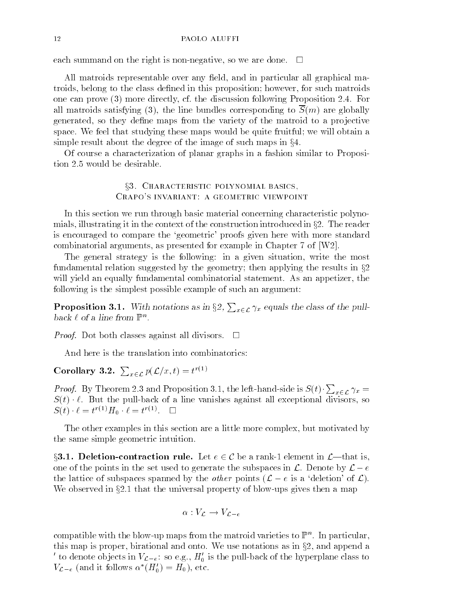each summand on the right is non-negative, so we are done.  $\Box$ 

All matroids representable over any field, and in particular all graphical matroids, belong to the class defined in this proposition; however, for such matroids one can prove (3) more directly, cf. the discussion following Proposition 2.4. For all matroids satisfying (3), the line bundles corresponding to  $S(m)$  are globally generated, so they define maps from the variety of the matroid to a projective space. We feel that studying these maps would be quite fruitful; we will obtain a simple result about the degree of the image of such maps in  $\S 4$ .

Of course a characterization of planar graphs in a fashion similar to Proposition 2.5 would be desirable.

> §3. CHARACTERISTIC POLYNOMIAL BASICS, Crapo's invariant: a geometric viewpoint

In this section we run through basic material concerning characteristic polynomials, illustrating it in the context of the construction introduced in  $\S2$ . The reader is encouraged to compare the `geometric' proofs given here with more standard combinatorial arguments, as presented for example in Chapter 7 of [W2].

The general strategy is the following: in a given situation, write the most fundamental relation suggested by the geometry; then applying the results in  $\S2$ will yield an equally fundamental combinatorial statement. As an appetizer, the following is the simplest possible example of such an argument:

**Proposition 3.1.** With notations as in  $\S2$ ,  $\sum_{x \in \mathcal{L}} \gamma_x$  equals the class of the pull- $\emph{back}~\ell~\emph{oi}~a~\emph{line}~\emph{non}~\Gamma^-.$ 

 $P$  roof. Dot both classes against all divisors.  $Q$ 

And here is the translation into combinatorics:

Corollary 3.2.  $\sum_{x \in \mathcal{L}} p(\mathcal{L}/x,t) = t^{r(1)}$ 

*Proof.* By Theorem 2.3 and Proposition 3.1, the left-hand-side is  $S(t) \cdot \sum_{x \in \mathcal{L}} \gamma_x =$ S(t) `. But the pull-back of a line vanishes against all exceptional divisors, so  $S(t) \cdot \ell = t^{\gamma - \gamma} \boldsymbol{\varPi}_0 \cdot \ell = t^{\gamma - \gamma}$ .  $\square$ 

The other examples in this section are a little more complex, but motivated by the same simple geometric intuition.

§3.1. Deletion-contraction rule. Let  $e \in \mathcal{C}$  be a rank-1 element in  $\mathcal{L}$ —that is, one of the points in the set used to generate the subspaces in  $\mathcal{L}$ . Denote by  $\mathcal{L} - e$ the lattice of subspaces spanned by the *other* points  $(L - e$  is a 'deletion' of  $L$ ). We observed in  $\S 2.1$  that the universal property of blow-ups gives then a map

$$
\alpha: V_{\mathcal{L}} \to V_{\mathcal{L}-e}
$$

compatible with the blow-up maps from the matroid varieties to  $\mathbb{P}^n.$  In particular, this map is proper, birational and onto. We use notations as in  $\S2$ , and append a to denote objects in  $V_{\mathcal{L}-e}$ : so e.g.,  $H_0$  is the pull-back of the hyperplane class to  $V_{\mathcal{L}-e}$  (and it follows  $\alpha$  ( $\pi_0$ ) =  $\pi_0$ ), etc.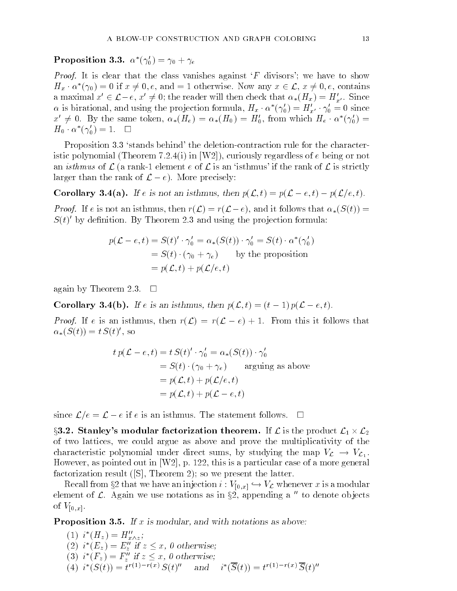Proposition 3.3.  $\alpha$  (  $\gamma_0$  ) =  $\gamma_0$  +  $\gamma_e$ 

*Proof.* It is clear that the class vanishes against  $F$  divisors'; we have to show  $H_x \cdot \alpha$  ( $\gamma_0$ ) = 0 if  $x \neq 0, e$ , and = 1 otherwise. Now any  $x \in \mathcal{L}$ ,  $x \neq 0, e$ , contains a maximal  $x' \in \mathcal{L}-e$ ,  $x' \neq 0$ ; the reader will then check that  $\alpha_*(H_x) = H'_{x'}$ . Since  $\alpha$  is birational, and using the projection formula,  $H_x$   $\alpha$  ( $\gamma_0$ ) =  $H_{x'}$   $\gamma_0$  = 0 since  $x \neq 0$ . By the same token,  $\alpha_*(\pi_e) = \alpha_*(\pi_0) = \pi_0$ , from which  $\pi_e \cdot \alpha$  ( $\gamma_0$ )  $H_0$   $\cdot$   $\alpha$   $(\gamma_0) = 1.$   $\Box$ 

Proposition 3.3 'stands behind' the deletion-contraction rule for the characteristic polynomial (Theorem 7.2.4(i) in [W2]), curiously regardless of  $e$  being or not an *isthmus* of  $\mathcal{L}$  (a rank-1 element e of  $\mathcal{L}$  is an 'isthmus' if the rank of  $\mathcal{L}$  is strictly larger than the rank of  $\mathcal{L} - e$ ). More precisely:

**Corollary 3.4(a).** If e is not an isthmus, then  $p(\mathcal{L}, t) = p(\mathcal{L} - e, t) - p(\mathcal{L}/e, t)$ .

 $P(\mathcal{L})$  is not an isomitimal, then  $P(\mathcal{L}) = P(\mathcal{L} = \mathcal{L})$ , and it follows that  $\alpha_{\mathcal{L}}(\mathcal{L}(\mathcal{L}))$  $S(t)$  by definition. By Theorem 2.3 and using the projection formula:

$$
p(\mathcal{L} - e, t) = S(t)' \cdot \gamma'_0 = \alpha_*(S(t)) \cdot \gamma'_0 = S(t) \cdot \alpha^*(\gamma'_0)
$$
  
=  $S(t) \cdot (\gamma_0 + \gamma_e)$  by the proposition  
=  $p(\mathcal{L}, t) + p(\mathcal{L}/e, t)$ 

again by Theorem 2.3.  $\Box$ 

**Corollary 3.4(b).** If e is an isthmus, then  $p(\mathcal{L}, t) = (t - 1) p(\mathcal{L} - e, t)$ .

 $P(\infty)$ . If e is an istimus, then  $P(\infty) = P(\infty)$  = 1. From this it follows that  $\alpha_*(\mathcal{S}(t)) = t \mathcal{S}(t)$ , so

$$
t p(\mathcal{L} - e, t) = t S(t)' \cdot \gamma'_0 = \alpha_*(S(t)) \cdot \gamma'_0
$$
  
=  $S(t) \cdot (\gamma_0 + \gamma_e)$  arguing as above  
=  $p(\mathcal{L}, t) + p(\mathcal{L}/e, t)$   
=  $p(\mathcal{L}, t) + p(\mathcal{L} - e, t)$ 

since  $\mathcal{L}/e = \mathcal{L} - e$  if e is an isthmus. The statement follows.  $\Box$ 

§3.2. Stanley's modular factorization theorem. If  ${\cal L}$  is the product  ${\cal L}_1\times {\cal L}_2$ L<sub>2</sub> L<sub>2</sub> L<sub>2</sub> L<sub>2</sub> L<sub>2</sub> L<sub>2</sub> of two lattices, we could argue as above and prove the multiplicativity of the characteristic polynomial under direct sums, by studying the map  $V_{\mathcal{L}} \to V_{\mathcal{L}_1}$ .<br>However, as pointed out in [W2], p. 122, this is a particular case of a more general factorization result ([S], Theorem 2); so we present the latter.

Recall from §2 that we have an injection  $i : V_{[0,x]} \hookrightarrow V_{\mathcal{L}}$  whenever x is a modular element of  $\mathcal{L}$ . Again we use notations as in §2, appending a  $\prime\prime$  to denote objects of  $V_{[0,x]}$ .

**Proposition 3.5.** If x is modular, and with notations as above:

\n- (1) 
$$
i^*(H_z) = H''_{x \wedge z};
$$
\n- (2)  $i^*(E_z) = E''_z$  if  $z \leq x$ , 0 otherwise;
\n- (3)  $i^*(F_z) = F''_z$  if  $z \leq x$ , 0 otherwise;
\n- (4)  $i^*(S(t)) = t^{r(1) - r(x)} S(t)^n$  and  $i^*(\overline{S}(t)) = t^{r(1) - r(x)} \overline{S}(t)^n$
\n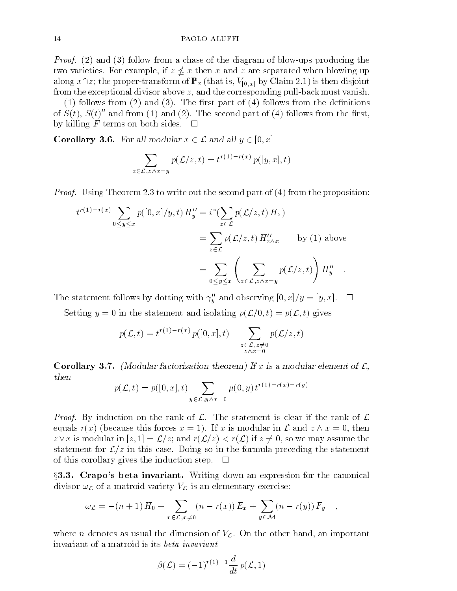Proof. (2) and (3) follow from a chase of the diagram of blow-ups producing the two varieties. For example, if  $\alpha$  -varieties when a separated when when  $\alpha$  and  $\alpha$ along  $x\cap z$ ; the proper-transform of  $\mathbb{P}_x$  (that is,  $V_{[0,x]}$  by Claim 2.1) is then disjoint from the exceptional divisor above  $z$ , and the corresponding pull-back must vanish.

 $(1)$  follows from  $(2)$  and  $(3)$ . The first part of  $(4)$  follows from the definitions of  $S(t)$ ,  $S(t)$  and from (1) and (2). The second part of (4) follows from the first, by killing F terms on both sides.  $\Box$ 

**Corollary 3.6.** For all modular  $x \in \mathcal{L}$  and all  $y \in [0, x]$ 

$$
\sum_{z \in \mathcal{L}, z \wedge x = y} p(\mathcal{L}/z, t) = t^{r(1) - r(x)} p([y, x], t)
$$

 $P$  roof. Using Theorem 2.3 to write out the second part of (4) in the theorem proposition:

$$
t^{r(1)-r(x)} \sum_{0 \le y \le x} p([0, x]/y, t) H''_y = i^*(\sum_{z \in \mathcal{L}} p(\mathcal{L}/z, t) H_z)
$$
  
= 
$$
\sum_{z \in \mathcal{L}} p(\mathcal{L}/z, t) H''_{z \wedge x} \qquad \text{by (1) above}
$$
  
= 
$$
\sum_{0 \le y \le x} \left( \sum_{z \in \mathcal{L}, z \wedge x = y} p(\mathcal{L}/z, t) \right) H''_y.
$$

The statement follows by dotting with  $\gamma''_y$  and observing  $[0, x]/y = [y, x]$ .  $\Box$ 

Setting  $y = 0$  in the statement and isolating  $p(\mathcal{L}/0, t) = p(\mathcal{L}, t)$  gives

$$
p(\mathcal{L},t) = t^{r(1)-r(x)} p([0,x],t) - \sum_{\substack{z \in \mathcal{L}, z \neq 0 \\ z \wedge x = 0}} p(\mathcal{L}/z,t)
$$

**Corollary 3.7.** (Modular factorization theorem) If x is a modular element of  $\mathcal{L}$ , then

$$
p(\mathcal{L}, t) = p([0, x], t) \sum_{y \in \mathcal{L}, y \wedge x = 0} \mu(0, y) t^{r(1) - r(x) - r(y)}
$$

Proof. By induction on the rank of L. The statement is clear if the rank of L equals  $r(x)$  (because this forces  $x = 1$ ). If x is modular in  $\mathcal L$  and  $z \wedge x = 0$ , then  $z$  is modular in [z; 1]  $z$  is modular in  $\mathcal{L}$  , we have the sound the sound three contributions of  $\mathcal{L}$ statement for  $\mathcal{L}/z$  in this case. Doing so in the formula preceding the statement of this corollary gives the induction step.  $\Box$ 

§3.3. Crapo's beta invariant. Writing down an expression for the canonical divisor  $\omega_{\mathcal{L}}$  of a matroid variety  $V_{\mathcal{L}}$  is an elementary exercise:

$$
\omega_{\mathcal{L}} = -(n+1) H_0 + \sum_{x \in \mathcal{L}, x \neq 0} (n - r(x)) E_x + \sum_{y \in \mathcal{M}} (n - r(y)) F_y ,
$$

where n denotes as usual the dimension of  $V_c$ . On the other hand, an important invariant of a matroid is its beta invariant

$$
\beta(\mathcal{L})=(-1)^{r(1)-1}\frac{d}{dt}\,p(\mathcal{L},1)
$$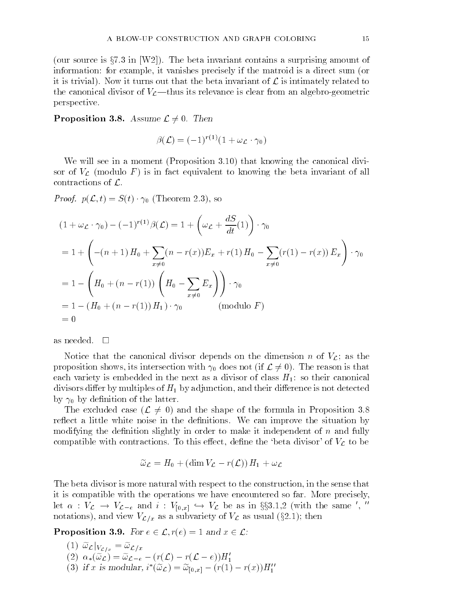(our source is  $\S 7.3$  in [W2]). The beta invariant contains a surprising amount of information: for example, it vanishes precisely if the matroid is a direct sum (or it is trivial). Now it turns out that the beta invariant of  $\mathcal L$  is intimately related to the canonical divisor of  $V_c$ —thus its relevance is clear from an algebro-geometric perspective.

**Proposition 3.8.** Assume  $\mathcal{L} \neq 0$ . Then

$$
\beta(\mathcal{L}) = (-1)^{r(1)} (1 + \omega_{\mathcal{L}} \cdot \gamma_0)
$$

We will see in a moment (Proposition 3.10) that knowing the canonical divisor of  $V_{\mathcal{L}}$  (modulo F) is in fact equivalent to knowing the beta invariant of all contractions of  $\mathcal{L}$ .

 $2 \cdot 3$ ,  $p(\mathbf{x}, t)$  ,  $p(\mathbf{x}, t)$  ,  $p(\mathbf{x}, t)$  is solutional  $\mathbf{x}$ 

$$
(1 + \omega_{\mathcal{L}} \cdot \gamma_0) - (-1)^{r(1)} \beta(\mathcal{L}) = 1 + \left(\omega_{\mathcal{L}} + \frac{dS}{dt}(1)\right) \cdot \gamma_0
$$
  
= 1 + \left(-(n+1)H\_0 + \sum\_{x \neq 0} (n - r(x))E\_x + r(1)H\_0 - \sum\_{x \neq 0} (r(1) - r(x))E\_x\right) \cdot \gamma\_0  
= 1 - \left(H\_0 + (n - r(1))\left(H\_0 - \sum\_{x \neq 0} E\_x\right)\right) \cdot \gamma\_0  
= 1 - (H\_0 + (n - r(1))H\_1) \cdot \gamma\_0 \qquad (\text{modulo } F)  
= 0

as needed.  $\square$ 

Notice that the canonical divisor depends on the dimension n of  $V_c$ ; as the proposition shows, its intersection with  $\gamma_0$  does not (if  $\mathcal{L} \neq 0$ ). The reason is that each variety is embedded in the next as a divisor of class  $H_1$ : so their canonical divisors differ by multiples of  $H_1$  by adjunction, and their difference is not detected by  $\gamma_0$  by definition of the latter.

The excluded case  $(\mathcal{L} \neq 0)$  and the shape of the formula in Proposition 3.8 reflect a little white noise in the definitions. We can improve the situation by modifying the definition slightly in order to make it independent of  $n$  and fully compatible with contractions. To this effect, define the 'beta divisor' of  $V_{\mathcal{L}}$  to be

$$
\widetilde{\omega}_{\mathcal{L}} = H_0 + (\dim V_{\mathcal{L}} - r(\mathcal{L})) H_1 + \omega_{\mathcal{L}}
$$

The beta divisor is more natural with respect to the construction, in the sense that it is compatible with the operations we have encountered so far. More precisely, Let  $\alpha$  :  $v_{\mathcal{L}} \rightarrow v_{\mathcal{L}-e}$  and  $i$  :  $v_{[0,x]} \hookrightarrow v_{\mathcal{L}}$  be as in  $gg3.1,2$  (with the same  $v$ , notations), and view  $V_{\mathcal{L}/x}$  as a subvariety of  $V_{\mathcal{L}}$  as usual (§2.1); then

**Proposition 3.9.** For  $e \in \mathcal{L}$ ,  $r(e)=1$  and  $x \in \mathcal{L}$ :

(1)  $\widetilde{\omega}_{\mathcal{L}}|_{V_{\mathcal{L}/x}}=\widetilde{\omega}_{\mathcal{L}/x}$ (2)  $\alpha_*(\omega_{\mathcal{L}}) = \omega_{\mathcal{L}-e} - (r(\mathcal{L}) - r(\mathcal{L}-e))\mathbf{\Pi}_1$ (3) if x is modular,  $i'(\omega_{\mathcal{L}}) = \omega_{[0,x]} - (r(1) - r(x))H_1$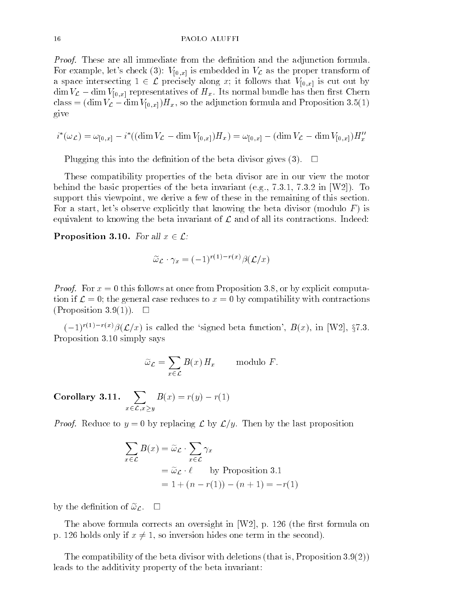Proof. These are all immediate from the denition and the adjunction formula. For example, let's check (3):  $V_{[0,x]}$  is embedded in  $V_{\mathcal{L}}$  as the proper transform of a space intersecting  $1 \in \mathcal{L}$  precisely along x; it follows that  $V_{[0,x]}$  is cut out by  $\dim V_{\mathcal{L}} - \dim V_{[0,x]}$  representatives of  $H_x$ . Its normal bundle has then first Chern class =  $(\dim V_c - \dim V_{[0,x]})H_x$ , so the adjunction formula and Proposition 3.5(1) give

$$
i^*(\omega_{\mathcal{L}}) = \omega_{[0,x]} - i^*((\dim V_{\mathcal{L}} - \dim V_{[0,x]})H_x) = \omega_{[0,x]} - (\dim V_{\mathcal{L}} - \dim V_{[0,x]})H''_x
$$

Plugging this into the definition of the beta divisor gives (3).  $\Box$ 

These compatibility properties of the beta divisor are in our view the motor behind the basic properties of the beta invariant (e.g.,  $7.3.1$ ,  $7.3.2$  in  $[W2]$ ). To support this viewpoint, we derive a few of these in the remaining of this section. For a start, let's observe explicitly that knowing the beta divisor (modulo  $F$ ) is equivalent to knowing the beta invariant of  $\mathcal L$  and of all its contractions. Indeed:

**Proposition 3.10.** For all  $x \in \mathcal{L}$ :

$$
\widetilde{\omega}_{\mathcal{L}} \cdot \gamma_x = (-1)^{r(1) - r(x)} \beta(\mathcal{L}/x)
$$

 $P$  roof. For  $x = 0$  this follows at once from Proposition 3.8, or  $\beta$ , or proposition  $\alpha$ tion if  $\mathcal{L} = 0$ ; the general case reduces to  $x = 0$  by compatibility with contractions (Proposition 3.9(1)).  $\square$ 

 $(-1)^{r(1)-r(x)}\beta(\mathcal{L}/x)$  is called the 'signed beta function',  $B(x)$ , in [W2], §7.3. Proposition 3.10 simply says

$$
\widetilde{\omega}_{\mathcal{L}} = \sum_{x \in \mathcal{L}} B(x) H_x \quad \text{modulo } F.
$$

Corollary 3.11.  $\sum B(x) =$  $\sim$   $\sim$   $\sim$   $\sim$   $\sim$   $\sim$   $\sim$  $\cdots$   $\cdots$   $\cdots$   $\cdots$   $\cdots$ 

 $P$  reduce to  $\mathcal{Y}$  = 0 by replacing  $\mathcal{Y}$  by  $\mathcal{Y}$ ,  $\mathcal{Y}$  is the last proposition

$$
\sum_{x \in \mathcal{L}} B(x) = \widetilde{\omega}_{\mathcal{L}} \cdot \sum_{x \in \mathcal{L}} \gamma_x
$$
  
=  $\widetilde{\omega}_{\mathcal{L}} \cdot \ell$  by Proposition 3.1  
= 1 + (n - r(1)) - (n + 1) = -r(1)

by the definition of  $\tilde{\omega}_{\mathcal{L}}$ .  $\Box$ 

The above formula corrects an oversight in  $[W2]$ , p. 126 (the first formula on p. 126 holds only if  $x \neq 1$ , so inversion hides one term in the second).

The compatibility of the beta divisor with deletions (that is, Proposition 3.9(2)) leads to the additivity property of the beta invariant: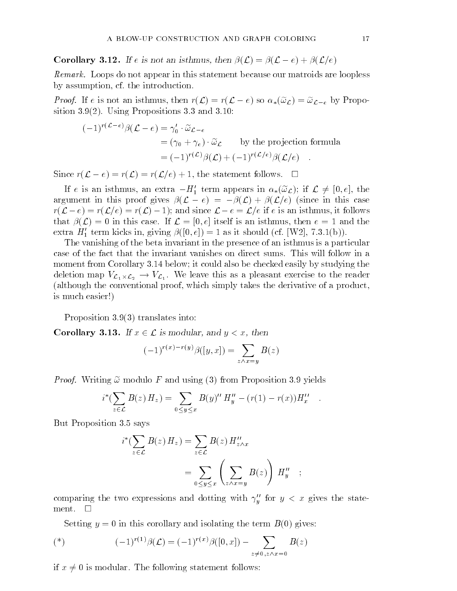**Corollary 3.12.** If e is not an isthmus, then  $\beta(\mathcal{L}) = \beta(\mathcal{L}-e) + \beta(\mathcal{L}/e)$ 

Remark. Loops do not appear in this statement because our matroids are loopless by assumption, cf. the introduction.

Proof. If e is not an istimus, then  $\mathcal{L}(\mathbf{z}) = \mathcal{L}(\mathbf{z} - \mathbf{z})$  so  $\mathbf{w}_\mathbf{z}(\mathbf{w}_\mathbf{z}) = \mathbf{w}_\mathbf{z} - \mathbf{e}$  by Propos sition 3.9(2). Using Propositions 3.3 and 3.10:

$$
(-1)^{r(\mathcal{L}-e)}\beta(\mathcal{L}-e) = \gamma_0' \cdot \widetilde{\omega}_{\mathcal{L}-e}
$$
  
=  $(\gamma_0 + \gamma_e) \cdot \widetilde{\omega}_{\mathcal{L}}$  by the projection formula  
=  $(-1)^{r(\mathcal{L})}\beta(\mathcal{L}) + (-1)^{r(\mathcal{L}/e)}\beta(\mathcal{L}/e)$ .

Since  $r(\mathcal{L}-e) = r(\mathcal{L}) = r(\mathcal{L}/e) + 1$ , the statement follows.  $\Box$ 

If e is an isthmus, an extra  $-H_1'$  term appears in  $\alpha_*(\tilde{\omega}_c)$ ; if  $\mathcal{L} \neq [0, e]$ , the argument in this proof gives  $\beta(\mathcal{L}-e) = -\beta(\mathcal{L}) + \beta(\mathcal{L}/e)$  (since in this case  $r(\mathcal{L}-e) = r(\mathcal{L}/e) = r(\mathcal{L}) - 1$ ; and since  $\mathcal{L}-e = \mathcal{L}/e$  if e is an isthmus, it follows that  $\beta(\mathcal{L}) = 0$  in this case. If  $\mathcal{L} = [0, e]$  itself is an isthmus, then  $e = 1$  and the extra  $H_1'$  term kicks in, giving  $\beta([0, e]) = 1$  as it should (cf. [W2], 7.3.1(b)).

The vanishing of the beta invariant in the presence of an isthmus is a particular case of the fact that the invariant vanishes on direct sums. This will follow in a moment from Corollary 3.14 below; it could also be checked easily by studying the deletion map  $\mu$  . We leave this assumption to the readers this assumption of the readers of the readers of the readers of the readers of the readers of the readers of the readers of the readers of the readers of the rea (although the conventional proof, which simply takes the derivative of a product, is much easier!)

Proposition 3.9(3) translates into:

**Corollary 3.13.** If  $x \in \mathcal{L}$  is modular, and  $y < x$ , then

$$
(-1)^{r(x)-r(y)}\beta([y,x]) = \sum_{z \wedge x = y} B(z)
$$

Proof. Writing !e modulo F and using (3) from Proposition 3.9 yields

$$
i^*(\sum_{z \in \mathcal{L}} B(z) H_z) = \sum_{0 \le y \le x} B(y)'' H''_y - (r(1) - r(x)) H''_x.
$$

But Proposition 3.5 says

$$
i^*(\sum_{z \in \mathcal{L}} B(z) H_z) = \sum_{z \in \mathcal{L}} B(z) H''_{z \wedge x}
$$
  
= 
$$
\sum_{0 \le y \le x} \left( \sum_{z \wedge x = y} B(z) \right) H''_y
$$
;

comparing the two expressions and dotting with  $\gamma_y$  for  $y~<~x$  gives the statement.  $\square$ 

Setting  $y = 0$  in this corollary and isolating the term  $B(0)$  gives:

(\*) 
$$
(-1)^{r(1)}\beta(\mathcal{L}) = (-1)^{r(x)}\beta([0, x]) - \sum_{z \neq 0, z \wedge x = 0} B(z)
$$

if  $x \neq 0$  is modular. The following statement follows: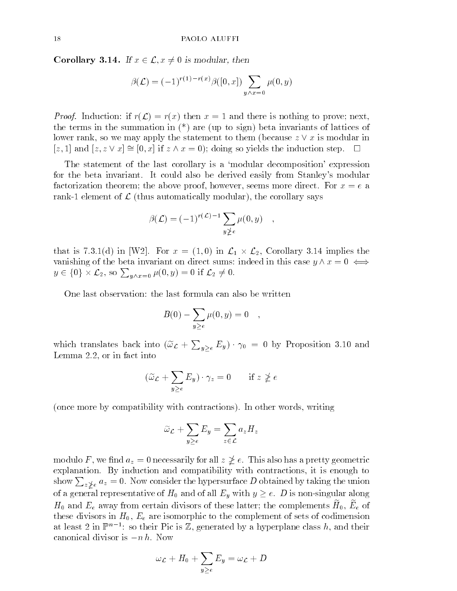**Corollary 3.14.** If  $x \in \mathcal{L}, x \neq 0$  is modular, then

$$
\beta(\mathcal{L}) = (-1)^{r(1) - r(x)} \beta([0, x]) \sum_{y \wedge x = 0} \mu(0, y)
$$

 $P$  roof. Inductions in r( $\infty$ )  $P$  rations  $\infty$  = 1 and the is nothing to prove; next, next, next, next, next, next, next, next, next, next, next, next, next, next, next, next, next, next, next, next, next, next, next, the terms in the summation in  $(*)$  are (up to sign) beta invariants of lattices of lower rank, so we may apply the statement to them (because  $z \vee x$  is modular in [z, 1] and  $[z, z \vee x] \cong [0, x]$  if  $z \wedge x = 0$ ); doing so yields the induction step.  $\square$ 

The statement of the last corollary is a `modular decomposition' expression for the beta invariant. It could also be derived easily from Stanley's modular factorization theorem; the above proof, however, seems more direct. For  $x = e$  a rank-1 element of  $\mathcal L$  (thus automatically modular), the corollary says

$$
\beta(\mathcal{L}) = (-1)^{r(\mathcal{L})-1} \sum_{y \ngeq e} \mu(0, y) \quad ,
$$

that is  $\mathcal{N}$  in  $\mathcal{N}$  in  $\mathcal{N}$  in L1 in L2, Corollary 3.14 in L1 in L1 in L1 in L1 in L1 in L1 in L1 in L1 in L1 in L1 in L1 in L1 in L1 in L1 in L1 in L1 in L1 in L1 in L1 in L1 in L1 in L1 in L1 in L1 in L1 in vanishing of the beta invariant on direct sums: indeed in this case  $y \wedge x = 0 \iff$  $y \in \{0\} \times \mathcal{L}_2$ , so  $\sum_{y \wedge x = 0} \mu(0, y) = 0$  if  $\mathcal{L}_2 \neq 0$ .

One last observation: the last formula can also be written

$$
B(0) - \sum_{y \ge e} \mu(0, y) = 0 \quad ,
$$

which translates back into  $(\tilde{\omega}_{\mathcal{L}} + \sum_{y>e} E_y) \cdot \gamma_0 = 0$  by Proposition 3.10 and Lemma 2.2, or in fact into

$$
(\widetilde{\omega}_{\mathcal{L}} + \sum_{y \ge e} E_y) \cdot \gamma_z = 0 \quad \text{if } z \nge e
$$

(once more by compatibility with contractions). In other words, writing

$$
\widetilde{\omega}_{\mathcal{L}} + \sum_{y \ge e} E_y = \sum_{z \in \mathcal{L}} a_z H_z
$$

modulo F, we find  $a_z = 0$  necessarily for all  $z \not\geq e$ . This also has a pretty geometric explanation. By induction and compatibility with contractions, it is enough to show  $\sum_{z\geq e} a_z = 0$ . Now consider the hypersurface D obtained by taking the union of a general representative of  $H_0$  and of all  $E_y$  with  $y \geq e$ . D is non-singular along  $\mu_0$  and  $\mu_e$  away from ecream divisors of these latter, the complements  $\mu_0, \, \mu_e$  of these divisors in  $H_0$ ,  $E_e$  are isomorphic to the complement of sets of codimension at least  $\angle$  in F  $^+$  = : so their Pic is  $\mathbb Z$ , generated by a hyperplane class h, and their canonical divisor is  $-n h$ . Now

$$
\omega_{\mathcal{L}} + H_0 + \sum_{y \geq e} E_y = \omega_{\mathcal{L}} + D
$$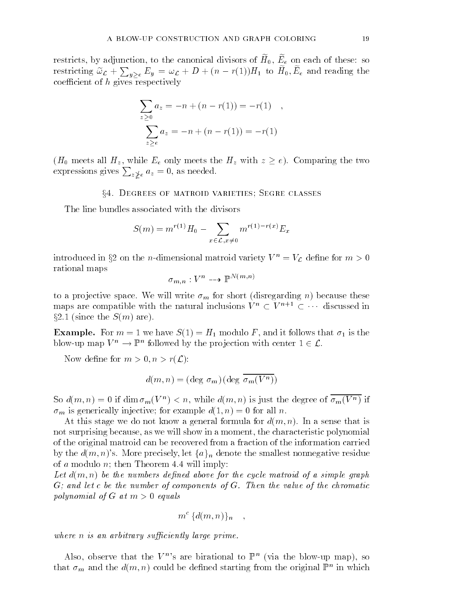restricts, by adjunction, to the canonical divisors or  $n_0$ ,  $E_e$  on each or these. So restricting  $\widetilde{\omega}_{\mathcal{L}} + \sum_{y>e} E_y = \omega_{\mathcal{L}} + D + (n - r(1))H_1$  to  $H_0, E_e$  and reading the coefficient of  $h$  gives respectively

$$
\sum_{z \ge 0} a_z = -n + (n - r(1)) = -r(1) ,
$$
  

$$
\sum_{z \ge e} a_z = -n + (n - r(1)) = -r(1)
$$

( $H_0$  meets all  $H_z$ , while  $E_e$  only meets the  $H_z$  with  $z \geq e$ ). Comparing the two expressions gives  $\sum_{z \neq e} a_z = 0$ , as needed.

### x4. Degrees of matroid varieties; Segre classes

The line bundles associated with the divisors

$$
S(m) = m^{r(1)}H_0 - \sum_{x \in \mathcal{L}, x \neq 0} m^{r(1) - r(x)} E_x
$$

introduced in §2 on the *n*-dimensional matroid variety  $V^n = V_c$  define for  $m > 0$ rational maps

$$
\sigma_{m,n}:V^n\dashrightarrow \mathbb{P}^{N(m,n)}
$$

to a projective space. We will write  $\sigma_m$  for short (disregarding n) because these maps are compatible with the natural inclusions  $V^n \subset V^{n+1} \subset \cdots$  discussed in  $\S 2.1$  (since the  $S(m)$  are).

**Example.** For  $m = 1$  we have  $S(1) = H_1$  modulo F, and it follows that  $\sigma_1$  is the blow-up map  $V^{\prime\prime} \rightarrow \mathbb{F}^{\prime\prime}$  followed by the projection with center  $1 \in \mathcal{L}$ .

Now define for  $m > 0, n > r(\mathcal{L})$ :

$$
d(m, n) = (\text{deg } \sigma_m)(\text{deg } \overline{\sigma_m(V^n)})
$$

So  $a(m,n) = 0$  if  $\dim \sigma_m(v^+) < n$ , while  $a(m,n)$  is just the degree of  $\sigma_m(v^+)$  if  $\sigma_m$  is generically injective; for example  $d(1,n) = 0$  for all n.

At this stage we do not know a general formula for  $d(m, n)$ . In a sense that is not surprising because, as we will show in a moment, the characteristic polynomial of the original matroid can be recovered from a fraction of the information carried by the  $d(m, n)$ 's. More precisely, let  $\{a\}_n$  denote the smallest nonnegative residue of a modulo  $n$ ; then Theorem 4.4 will imply:

Let  $a(n\ell,n)$  be the numbers acpined above for the cycle matricial of a simple graph G; and let c be the number of components of G. Then the value of the chromatic  $p$ olynomial of G at m  $>$  0 cyaals

$$
m^{\,c}\,\{d(m,n)\}_n\quad ,\quad
$$

where he is who well are a sufficiently large prime.

Also, observe that the  $V^n$ 's are birational to  $\mathbb{P}^n$  (via the blow-up map), so that  $\sigma_m$  and the  $a(m,n)$  could be defined starting from the original  $\mathbb{P}^n$  in which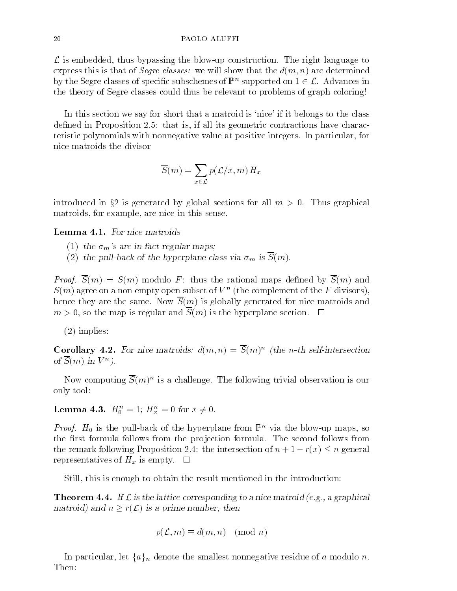$\mathcal L$  is embedded, thus bypassing the blow-up construction. The right language to express this is that of *Segre classes:* we will show that the  $d(m, n)$  are determined by the segre classes of specific subschemes of  $\mathbb{F}^n$  supported on  $1 \in \mathcal{L}$ . Advances in the theory of Segre classes could thus be relevant to problems of graph coloring!

In this section we say for short that a matroid is 'nice' if it belongs to the class defined in Proposition 2.5: that is, if all its geometric contractions have characteristic polynomials with nonnegative value at positive integers. In particular, for nice matroids the divisor

$$
\overline{S}(m) = \sum_{x \in \mathcal{L}} p(\mathcal{L}/x, m) H_x
$$

introduced in §2 is generated by global sections for all  $m > 0$ . Thus graphical matroids, for example, are nice in this sense.

Lemma 4.1. For nice matroids

- (1) the  $\sigma_m$ 's are in fact regular maps;
- (2) the pull-back of the hyperplane class via  $\sigma_m$  is  $\overline{S}(m)$ .

 $\blacksquare$  . Sy,  $\blacksquare$  (iii)  $\blacksquare$  S(iii) modulo  $\blacksquare$  : the rational modulo by S(iii)  $\blacksquare$  (iii) and  $\blacksquare$  $S(m)$  agree on a non-empty open subset of  $V^+$  (the complement of the  $F$  divisors), hence they are the same. Now  $\overline{S}(m)$  is globally generated for nice matroids and  $m > 0$ , so the map is regular and  $\overline{S}(m)$  is the hyperplane section.  $\Box$ 

(2) implies:

Corollary 4.2. For mce matroids:  $a(m,n) = S(m)$  (the n-th self-intersection  $O(100)$  in V  $\rightarrow$  1.

Now computing  $S(m)^\sim$  is a challenge. The following trivial observation is our only tool:

**Lemma 4.3.**  $H_0^+ = 1$ ;  $H_x^+ = 0$  for  $x \neq 0$ .

*Proof.*  $H_0$  is the pull-back of the hyperplane from  $\mathbb{F}^n$  via the blow-up maps, so the first formula follows from the projection formula. The second follows from the remark following Proposition 2.4: the intersection of  $n + 1 - r(x) \leq n$  general representatives of  $H_x$  is empty.  $\square$ 

Still, this is enough to obtain the result mentioned in the introduction:

**Theorem 4.4.** If  $\mathcal{L}$  is the lattice corresponding to a nice matroid (e.g., a graphical matroid) and  $n \geq r(\mathcal{L})$  is a prime number, then

$$
p(\mathcal{L},m)\equiv d(m,n)\pmod{n}
$$

In particular, let  $\{a\}_n$  denote the smallest nonnegative residue of a modulo n.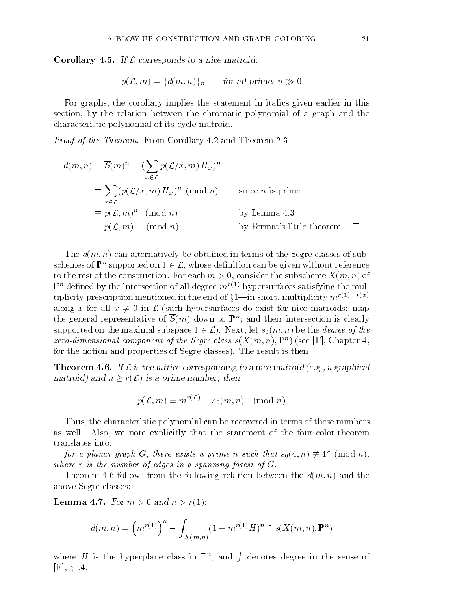**Corollary 4.5.** If  $\mathcal L$  corresponds to a nice matroid,

$$
p(\mathcal{L}, m) = \{d(m, n)\}\
$$
 for all primes  $n \gg 0$ 

For graphs, the corollary implies the statement in italics given earlier in this section, by the relation between the chromatic polynomial of a graph and the characteristic polynomial of its cycle matroid.

 $P$  roof of the Theorem. From Corollary 4.2 and Theorem 2.5

$$
d(m, n) = \overline{S}(m)^n = \left(\sum_{x \in \mathcal{L}} p(\mathcal{L}/x, m) H_x\right)^n
$$
  
\n
$$
\equiv \sum_{x \in \mathcal{L}} (p(\mathcal{L}/x, m) H_x)^n \pmod{n} \qquad \text{since } n \text{ is prime}
$$
  
\n
$$
\equiv p(\mathcal{L}, m)^n \pmod{n} \qquad \text{by Lemma 4.3}
$$
  
\n
$$
\equiv p(\mathcal{L}, m) \pmod{n} \qquad \text{by Fermat's little theorem.} \quad \Box
$$

The  $d(m, n)$  can alternatively be obtained in terms of the Segre classes of subschemes of  $\mathbb{P}^n$  supported on  $1\in\mathcal{L},$  whose definition can be given without reference to the rest of the construction. For each  $m > 0$ , consider the subscheme  $X(m, n)$  of  $\mathbb{P}^n$  defined by the intersection of all degree- $m^{r(1)}$  hypersurfaces satisfying the multiplicity prescription mentioned in the end of  $\S1$ —in short, multiplicity  $m^{r(1)-r(x)}$ along x for all  $x \neq 0$  in  $\mathcal L$  (such hypersurfaces do exist for nice matroids: map the general representative of  $S(m)$  down to  $\mathbb{P}^n$ ; and their intersection is clearly supported on the maximal subspace  $1 \in \mathcal{L}$ ). Next, let  $s_0(m, n)$  be the *degree of the* zero-amiensional component of the Segre class  $s(X(m,n), \mathbb{F})$  (see  $|\mathbf{r}|$ , Chapter 4, for the notion and properties of Segre classes). The result is then

**Theorem 4.6.** If  $\mathcal{L}$  is the lattice corresponding to a nice matroid (e.g., a graphical matroid) and  $n \geq r(\mathcal{L})$  is a prime number, then

$$
p(\mathcal{L}, m) \equiv m^{r(\mathcal{L})} - s_0(m, n) \pmod{n}
$$

Thus, the characteristic polynomial can be recovered in terms of these numbers as well. Also, we note explicitly that the statement of the four-color-theorem translates into:

for a planar graph  $G$ , there exists a prime n such that  $s_0(4,n) \neq 4$  (mod n), where r is the number of edges in a spanning forest of G.

Theorem 4.6 follows from the following relation between the  $d(m, n)$  and the above Segre classes:

**Lemma 4.7.** For  $m > 0$  and  $n > r(1)$ :

$$
d(m, n) = \left(m^{r(1)}\right)^n - \int_{X(m,n)} (1 + m^{r(1)}H)^n \cap s(X(m,n), \mathbb{P}^n)
$$

where H is the hyperplane class in  $\mathbb{P}^n$ , and f denotes degree in the sense of  $[F]$ , §1.4.